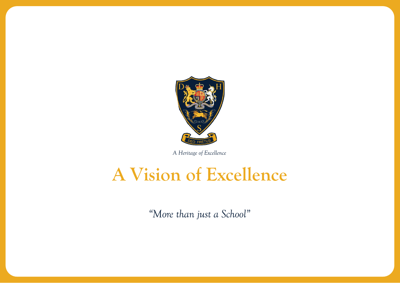

*A Heritage of Excellence*

# **A Vision of Excellence**

*"More than just a School"*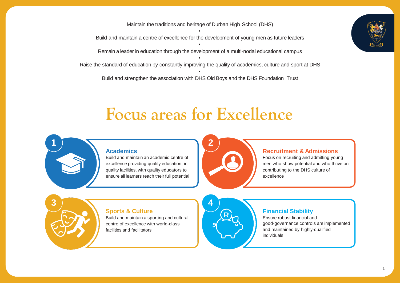Maintain the traditions and heritage of Durban High School (DHS) • Build and maintain a centre of excellence for the development of young men as future leaders • Remain a leader in education through the development of a multi-nodal educational campus • Raise the standard of education by constantly improving the quality of academics, culture and sport at DHS • Build and strengthen the association with DHS Old Boys and the DHS Foundation Trust



### **Focus areas for Excellence**



#### **Academics**

Build and maintain an academic centre of excellence providing quality education, in quality facilities, with quality educators to ensure all learners reach their full potential



#### **Recruitment & Admissions**

Focus on recruiting and admitting young men who show potential and who thrive on contributing to the DHS culture of excellence

#### **Sports & Culture**

Build and maintain a sporting and cultural centre of excellence with world-class facilities and facilitators



#### **Financial Stability**

Ensure robust financial and good-governance controls are implemented and maintained by highly-qualified individuals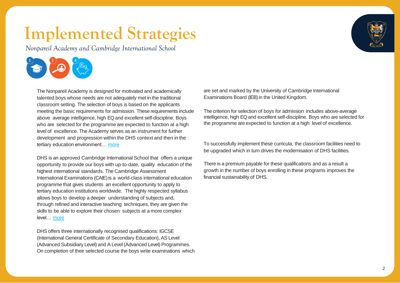*Nonpareil Academy and Cambridge International School*



The Nonpareil Academy is designed for motivated and academically talented boys whose needs are not adequately met in the traditional classroom setting. The selection of boys is based on the applicants meeting the basic requirements for admission. These requirements include above average intelligence, high EQ and excellent self-discipline. Boys who are selected for the programme are expected to function at a high level of excellence. The Academy serves as an instrument for further development and progression within the DHS context and then in the tertiary education environment… [more](https://www.durbanhighschool.co.za/nonpareil-academy-at-dhs/)

DHS is an approved Cambridge International School that offers a unique opportunity to provide our boys with up-to-date, quality education of the highest international standards. The Cambridge Assessment International Examinations (CAIE) is a world-class international education programme that gives students an excellent opportunity to apply to tertiary education institutions worldwide. The highly respected syllabus allows boys to develop a deeper understanding of subjects and, through refined and interactive teaching techniques, they are given the skills to be able to explore their chosen subjects at a more complex level… [more](https://www.durbanhighschool.co.za/cambridge-international/)

DHS offers three internationally recognised qualifications: IGCSE (International General Certificate of Secondary Education), AS Level (Advanced Subsidiary Level) and A Level (Advanced Level) Programmes. On completion of their selected course the boys write examinations which are set and marked by the University of Cambridge International Examinations Board (IEB) in the United Kingdom.

The criterion for selection of boys for admission includes above-average intelligence, high EQ and excellent self-discipline. Boys who are selected for the programme are expected to function at a high level of excellence.

To successfully implement these curricula, the classroom facilities need to be upgraded which in turn drives the modernisation of DHS facilities.

There is a premium payable for these qualifications and as a result a growth in the number of boys enrolling in these programs improves the financial sustainability of DHS.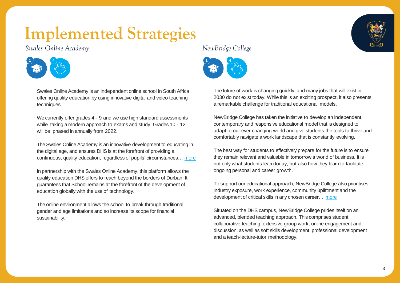### *Swales Online Academy*



Swales Online Academy is an independent online school in South Africa offering quality education by using innovative digital and video teaching techniques.

We currently offer grades 4 - 9 and we use high standard assessments while taking a modern approach to exams and study. Grades 10 - 12 will be phased in annually from 2022.

The Swales Online Academy is an innovative development to educating in the digital age, and ensures DHS is at the forefront of providing a continuous, quality education, regardless of pupils' circumstances… [more](https://swalesonlineacademy.co.za/)

In partnership with the Swales Online Academy, this platform allows the quality education DHS offers to reach beyond the borders of Durban. It guarantees that School remains at the forefront of the development of education globally with the use of technology.

The online environment allows the school to break through traditional gender and age limitations and so increase its scope for financial sustainability.



#### *NewBridge College*



The future of work is changing quickly, and many jobs that will exist in 2030 do not exist today. While this is an exciting prospect, it also presents a remarkable challenge for traditional educational models.

NewBridge College has taken the initiative to develop an independent, contemporary and responsive educational model that is designed to adapt to our ever-changing world and give students the tools to thrive and comfortably navigate a work landscape that is constantly evolving.

The best way for students to effectively prepare for the future is to ensure they remain relevant and valuable in tomorrow's world of business. It is not only what students learn today, but also how they learn to facilitate ongoing personal and career growth.

To support our educational approach, NewBridge College also prioritises industry exposure, work experience, community upliftment and the development of critical skills in any chosen career… [more](https://newbridge.life/why-newbridge/)

Situated on the DHS campus, NewBridge College prides itself on an advanced, blended teaching approach. This comprises student collaborative teaching, extensive group work, online engagement and discussion, as well as soft skills development, professional development and a teach-lecture-tutor methodology.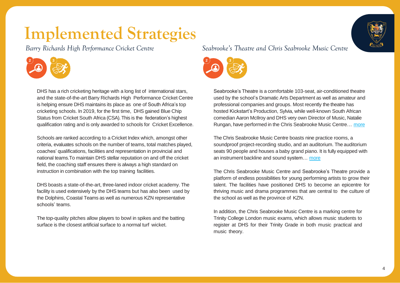*Barry Richards High Performance Cricket Centre*



DHS has a rich cricketing heritage with a long list of international stars, and the state-of-the-art Barry Richards High Performance Cricket Centre is helping ensure DHS maintains its place as one of South Africa's top cricketing schools. In 2019, for the first time, DHS gained Blue Chip Status from Cricket South Africa (CSA). This is the federation's highest qualification rating and is only awarded to schools for Cricket Excellence.

Schools are ranked according to a Cricket Index which, amongst other criteria, evaluates schools on the number of teams, total matches played, coaches' qualifications, facilities and representation in provincial and national teams.To maintain DHS stellar reputation on and off the cricket field, the coaching staff ensures there is always a high standard on instruction in combination with the top training facilities.

DHS boasts a state-of-the-art, three-laned indoor cricket academy. The facility is used extensively by the DHS teams but has also been used by the Dolphins, Coastal Teams as well as numerous KZN representative schools' teams.

The top-quality pitches allow players to bowl in spikes and the batting surface is the closest artificial surface to a normal turf wicket.

### *Seabrooke's Theatre and Chris Seabrooke Music Centre*



Seabrooke's Theatre is a comfortable 103-seat, air-conditioned theatre used by the school's Dramatic Arts Department as well as amateur and professional companies and groups. Most recently the theatre has hosted Kickstart's Production, Sylvia, while well-known South African comedian Aaron McIlroy and DHS very own Director of Music, Natalie Rungan, have performed in the Chris Seabrooke Music Centre… [more](https://www.durbanhighschool.co.za/seabrookes-theatre/)

The Chris Seabrooke Music Centre boasts nine practice rooms, a soundproof project-recording studio, and an auditorium. The auditorium seats 90 people and houses a baby grand piano. It is fully equipped with an instrument backline and sound system… [more](https://www.durbanhighschool.co.za/the-chris-seabrooke-music-centre/)

The Chris Seabrooke Music Centre and Seabrooke's Theatre provide a platform of endless possibilities for young performing artists to grow their talent. The facilities have positioned DHS to become an epicentre for thriving music and drama programmes that are central to the culture of the school as well as the province of KZN.

In addition, the Chris Seabrooke Music Centre is a marking centre for Trinity College London music exams, which allows music students to register at DHS for their Trinity Grade in both music practical and music theory.

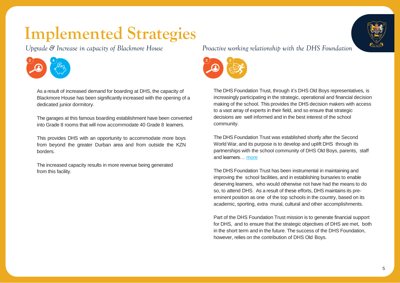*Upgrade & Increase in capacity of Blackmore House*



As a result of increased demand for boarding at DHS, the capacity of Blackmore House has been significantly increased with the opening of a dedicated junior dormitory.

The garages at this famous boarding establishment have been converted into Grade 8 rooms that will now accommodate 40 Grade 8 learners.

This provides DHS with an opportunity to accommodate more boys from beyond the greater Durban area and from outside the KZN borders.

The increased capacity results in more revenue being generated from this facility.

*Proactive working relationship with the DHS Foundation*



The DHS Foundation Trust, through it's DHS Old Boys representatives, is increasingly participating in the strategic, operational and financial decision making of the school. This provides the DHS decision makers with access to a vast array of experts in their field, and so ensure that strategic decisions are well informed and in the best interest of the school community.

The DHS Foundation Trust was established shortly after the Second World War, and its purpose is to develop and uplift DHS through its partnerships with the school community of DHS Old Boys, parents, staff and learners… [more](https://www.dhsfoundation.co.za/)

The DHS Foundation Trust has been instrumental in maintaining and improving the school facilities, and in establishing bursaries to enable deserving learners, who would otherwise not have had the means to do so, to attend DHS. As a result of these efforts, DHS maintains its preeminent position as one of the top schools in the country, based on its academic, sporting, extra mural, cultural and other accomplishments.

Part of the DHS Foundation Trust mission is to generate financial support for DHS, and to ensure that the strategic objectives of DHS are met, both in the short term and in the future. The success of the DHS Foundation, however, relies on the contribution of DHS Old Boys.

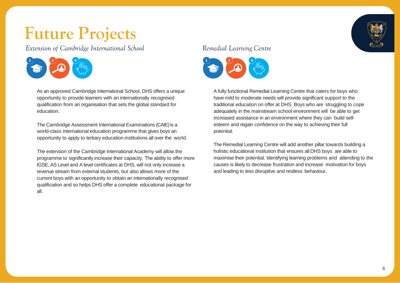### **Future Projects**

*Extension of Cambridge International School*



As an approved Cambridge International School, DHS offers a unique opportunity to provide learners with an internationally recognised qualification from an organisation that sets the global standard for education.

The Cambridge Assessment International Examinations (CAIE) is a world-class international education programme that gives boys an opportunity to apply to tertiary education institutions all over the world.

The extension of the Cambridge International Academy will allow the programme to significantly increase their capacity. The ability to offer more IGSE, AS Level and A level certificates at DHS, will not only increase a revenue stream from external students, but also allows more of the current boys with an opportunity to obtain an internationally recognised qualification and so helps DHS offer a complete educational package for all.

### *Remedial Learning Centre*



A fully functional Remedial Learning Centre that caters for boys who have mild to moderate needs will provide significant support to the traditional education on offer at DHS. Boys who are struggling to cope adequately in the mainstream school environment will be able to get increased assistance in an environment where they can build selfesteem and regain confidence on the way to achieving their full potential.

The Remedial Learning Centre will add another pillar towards building a holistic educational institution that ensures all DHS boys are able to maximise their potential. Identifying learning problems and attending to the causes is likely to decrease frustration and increase motivation for boys and leading to less disruptive and restless behaviour.

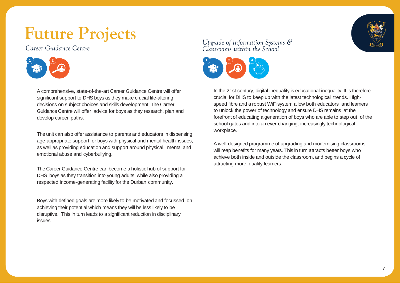## **Future Projects**

*Career Guidance Centre*



A comprehensive, state-of-the-art Career Guidance Centre will offer significant support to DHS boys as they make crucial life-altering decisions on subject choices and skills development. The Career Guidance Centre will offer advice for boys as they research, plan and develop career paths.

The unit can also offer assistance to parents and educators in dispensing age-appropriate support for boys with physical and mental health issues, as well as providing education and support around physical, mental and emotional abuse and cyberbullying.

The Career Guidance Centre can become a holistic hub of support for DHS boys as they transition into young adults, while also providing a respected income-generating facility for the Durban community.

Boys with defined goals are more likely to be motivated and focussed on achieving their potential which means they will be less likely to be disruptive. This in turn leads to a significant reduction in disciplinary issues.

### *Upgrade of information Systems & Classrooms within the School*



In the 21st century, digital inequality is educational inequality. It is therefore crucial for DHS to keep up with the latest technological trends. Highspeed fibre and a robust WiFi system allow both educators and learners to unlock the power of technology and ensure DHS remains at the forefront of educating a generation of boys who are able to step out of the school gates and into an ever-changing, increasingly technological workplace.

A well-designed programme of upgrading and modernising classrooms will reap benefits for many years. This in turn attracts better boys who achieve both inside and outside the classroom, and begins a cycle of attracting more, quality learners.